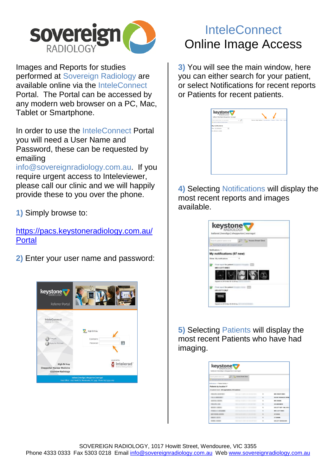

Images and Reports for studies performed at Sovereign Radiology are available online via the InteleConnect Portal. The Portal can be accessed by any modern web browser on a PC, Mac, Tablet or Smartphone.

In order to use the InteleConnect Portal you will need a User Name and Password, these can be requested by emailing

info@sovereignradiology.com.au. If you require urgent access to Inteleviewer, please call our clinic and we will happily provide these to you over the phone.

**1)** Simply browse to:

[https://pacs.keystoneradiology.com.au/](https://pacs.keystoneradiology.com.au/Portal) **[Portal](https://pacs.keystoneradiology.com.au/Portal)** 

**2)** Enter your user name and password:



## **InteleConnect** Online Image Access

**3)** You will see the main window, here you can either search for your patient, or select Notifications for recent reports or Patients for recent patients.

| $ \Omega$<br>Welcome Clede Clarkson   My notifications   Patients   Profile   Help   Log out<br>Search patient name, id. or accession<br>Construction the display primary Q<br>My notifications<br>Show My notifications<br>$\checkmark$<br>No notifications available |  |
|------------------------------------------------------------------------------------------------------------------------------------------------------------------------------------------------------------------------------------------------------------------------|--|
|                                                                                                                                                                                                                                                                        |  |
|                                                                                                                                                                                                                                                                        |  |
|                                                                                                                                                                                                                                                                        |  |
|                                                                                                                                                                                                                                                                        |  |
|                                                                                                                                                                                                                                                                        |  |
|                                                                                                                                                                                                                                                                        |  |
|                                                                                                                                                                                                                                                                        |  |
|                                                                                                                                                                                                                                                                        |  |
|                                                                                                                                                                                                                                                                        |  |
|                                                                                                                                                                                                                                                                        |  |
|                                                                                                                                                                                                                                                                        |  |
|                                                                                                                                                                                                                                                                        |  |
|                                                                                                                                                                                                                                                                        |  |
|                                                                                                                                                                                                                                                                        |  |
|                                                                                                                                                                                                                                                                        |  |
|                                                                                                                                                                                                                                                                        |  |
|                                                                                                                                                                                                                                                                        |  |
|                                                                                                                                                                                                                                                                        |  |
|                                                                                                                                                                                                                                                                        |  |
|                                                                                                                                                                                                                                                                        |  |
|                                                                                                                                                                                                                                                                        |  |
|                                                                                                                                                                                                                                                                        |  |
|                                                                                                                                                                                                                                                                        |  |
|                                                                                                                                                                                                                                                                        |  |
|                                                                                                                                                                                                                                                                        |  |
|                                                                                                                                                                                                                                                                        |  |
|                                                                                                                                                                                                                                                                        |  |
|                                                                                                                                                                                                                                                                        |  |

**4)** Selecting Notifications will display the most recent reports and images available.

| about survey or or<br>a floorming to subsets with  | Anno Smit Good |  |
|----------------------------------------------------|----------------|--|
| allculture 1                                       |                |  |
| ly notifications (97 new)                          |                |  |
| My sublicators                                     |                |  |
| <b>MONTHLAND</b>                                   |                |  |
| and you list with money little first little and    |                |  |
| First report for patient (interest)<br>USLEFT CALF |                |  |

**5)** Selecting Patients will display the most recent Patients who have had imaging.

| keystone<br>Ingernes [ Institute payments ] bookfield                       |                           |                |                             |
|-----------------------------------------------------------------------------|---------------------------|----------------|-----------------------------|
| Search asterior carry or let<br>a three first to advert and company there." | [ ] The Assessment Cheese |                |                             |
| Noticutions + Patient Actube +                                              |                           |                |                             |
| Patients by location V<br>Hustoris food: (All argentedium, NF boothora)     |                           |                |                             |
| <b>STATE CONTINUES</b>                                                      |                           | ٠              | MAINTENT KINES              |
| ----                                                                        |                           | $\blacksquare$ | OR ARE THE MUNICIPAL OF THE |
| -                                                                           |                           | $\overline{a}$ | Mill i Showin               |
|                                                                             |                           | ×              | <b><i>LELANDRAGE</i></b>    |
|                                                                             |                           | $\mathbf{r}$   | <b>MALEYTINE' LINA MALE</b> |
| ---                                                                         |                           | ٠              | MELICATE MALE               |
| ---                                                                         |                           |                | OF OURS.                    |
| ---                                                                         |                           | $\overline{a}$ | <b>CT HEARS</b>             |
|                                                                             |                           | ٠              | URLEFT BHOLLIKIN            |